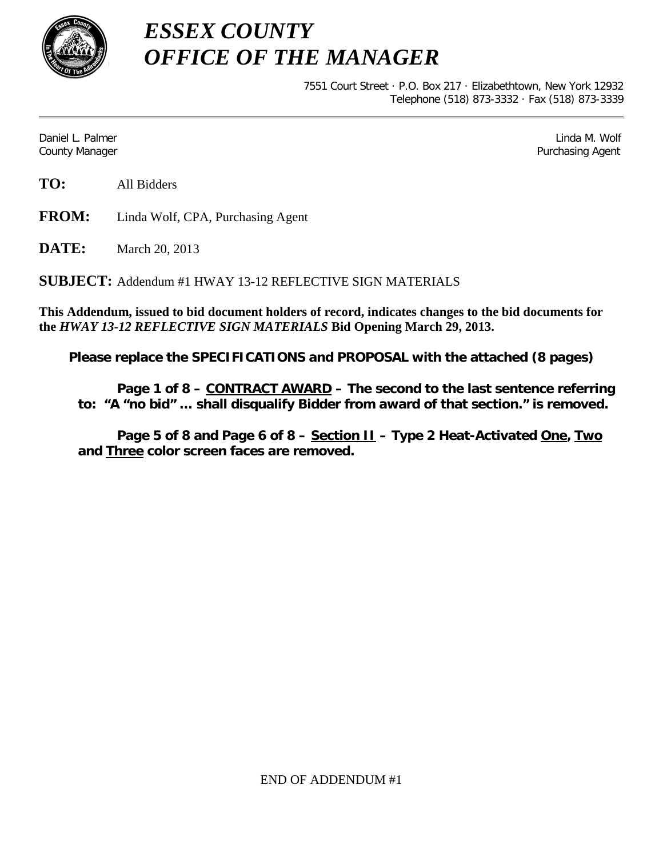

*ESSEX COUNTY OFFICE OF THE MANAGER*

> 7551 Court Street · P.O. Box 217 · Elizabethtown, New York 12932 Telephone (518) 873-3332 · Fax (518) 873-3339

Daniel L. Palmer Later and the control of the control of the control of the control of the control of the control of the control of the control of the control of the control of the control of the control of the control of County Manager Purchasing Agent

**TO:** All Bidders

**FROM:** Linda Wolf, CPA, Purchasing Agent

**DATE:** March 20, 2013

**SUBJECT:** Addendum #1 HWAY 13-12 REFLECTIVE SIGN MATERIALS

**This Addendum, issued to bid document holders of record, indicates changes to the bid documents for the** *HWAY 13-12 REFLECTIVE SIGN MATERIALS* **Bid Opening March 29, 2013.**

**Please replace the SPECIFICATIONS and PROPOSAL with the attached (8 pages)**

**Page 1 of 8 – CONTRACT AWARD – The second to the last sentence referring to: "A "no bid" … shall disqualify Bidder from award of that section." is removed.**

**Page 5 of 8 and Page 6 of 8 – Section II – Type 2 Heat-Activated One, Two and Three color screen faces are removed.**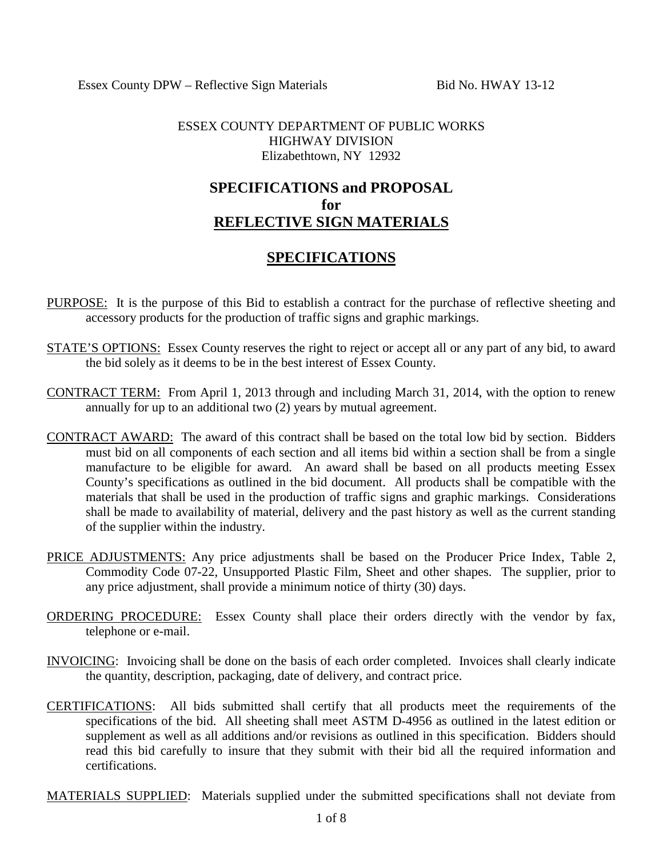## ESSEX COUNTY DEPARTMENT OF PUBLIC WORKS HIGHWAY DIVISION Elizabethtown, NY 12932

# **SPECIFICATIONS and PROPOSAL for REFLECTIVE SIGN MATERIALS**

# **SPECIFICATIONS**

- PURPOSE: It is the purpose of this Bid to establish a contract for the purchase of reflective sheeting and accessory products for the production of traffic signs and graphic markings.
- STATE'S OPTIONS: Essex County reserves the right to reject or accept all or any part of any bid, to award the bid solely as it deems to be in the best interest of Essex County.
- CONTRACT TERM: From April 1, 2013 through and including March 31, 2014, with the option to renew annually for up to an additional two (2) years by mutual agreement.
- CONTRACT AWARD: The award of this contract shall be based on the total low bid by section. Bidders must bid on all components of each section and all items bid within a section shall be from a single manufacture to be eligible for award. An award shall be based on all products meeting Essex County's specifications as outlined in the bid document. All products shall be compatible with the materials that shall be used in the production of traffic signs and graphic markings. Considerations shall be made to availability of material, delivery and the past history as well as the current standing of the supplier within the industry.
- PRICE ADJUSTMENTS: Any price adjustments shall be based on the Producer Price Index, Table 2, Commodity Code 07-22, Unsupported Plastic Film, Sheet and other shapes. The supplier, prior to any price adjustment, shall provide a minimum notice of thirty (30) days.
- ORDERING PROCEDURE: Essex County shall place their orders directly with the vendor by fax, telephone or e-mail.
- INVOICING: Invoicing shall be done on the basis of each order completed. Invoices shall clearly indicate the quantity, description, packaging, date of delivery, and contract price.
- CERTIFICATIONS: All bids submitted shall certify that all products meet the requirements of the specifications of the bid. All sheeting shall meet ASTM D-4956 as outlined in the latest edition or supplement as well as all additions and/or revisions as outlined in this specification. Bidders should read this bid carefully to insure that they submit with their bid all the required information and certifications.

MATERIALS SUPPLIED: Materials supplied under the submitted specifications shall not deviate from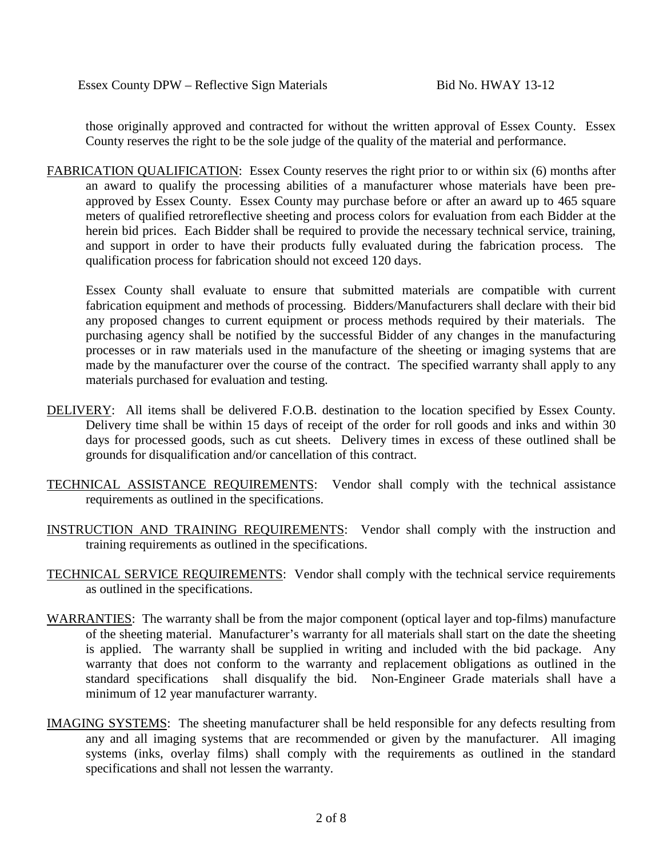those originally approved and contracted for without the written approval of Essex County. Essex County reserves the right to be the sole judge of the quality of the material and performance.

FABRICATION QUALIFICATION: Essex County reserves the right prior to or within six (6) months after an award to qualify the processing abilities of a manufacturer whose materials have been preapproved by Essex County. Essex County may purchase before or after an award up to 465 square meters of qualified retroreflective sheeting and process colors for evaluation from each Bidder at the herein bid prices. Each Bidder shall be required to provide the necessary technical service, training, and support in order to have their products fully evaluated during the fabrication process. The qualification process for fabrication should not exceed 120 days.

Essex County shall evaluate to ensure that submitted materials are compatible with current fabrication equipment and methods of processing. Bidders/Manufacturers shall declare with their bid any proposed changes to current equipment or process methods required by their materials. The purchasing agency shall be notified by the successful Bidder of any changes in the manufacturing processes or in raw materials used in the manufacture of the sheeting or imaging systems that are made by the manufacturer over the course of the contract. The specified warranty shall apply to any materials purchased for evaluation and testing.

- DELIVERY: All items shall be delivered F.O.B. destination to the location specified by Essex County. Delivery time shall be within 15 days of receipt of the order for roll goods and inks and within 30 days for processed goods, such as cut sheets. Delivery times in excess of these outlined shall be grounds for disqualification and/or cancellation of this contract.
- TECHNICAL ASSISTANCE REQUIREMENTS: Vendor shall comply with the technical assistance requirements as outlined in the specifications.
- INSTRUCTION AND TRAINING REQUIREMENTS: Vendor shall comply with the instruction and training requirements as outlined in the specifications.
- TECHNICAL SERVICE REQUIREMENTS: Vendor shall comply with the technical service requirements as outlined in the specifications.
- WARRANTIES: The warranty shall be from the major component (optical layer and top-films) manufacture of the sheeting material. Manufacturer's warranty for all materials shall start on the date the sheeting is applied. The warranty shall be supplied in writing and included with the bid package. Any warranty that does not conform to the warranty and replacement obligations as outlined in the standard specifications shall disqualify the bid. Non-Engineer Grade materials shall have a minimum of 12 year manufacturer warranty.
- IMAGING SYSTEMS: The sheeting manufacturer shall be held responsible for any defects resulting from any and all imaging systems that are recommended or given by the manufacturer. All imaging systems (inks, overlay films) shall comply with the requirements as outlined in the standard specifications and shall not lessen the warranty.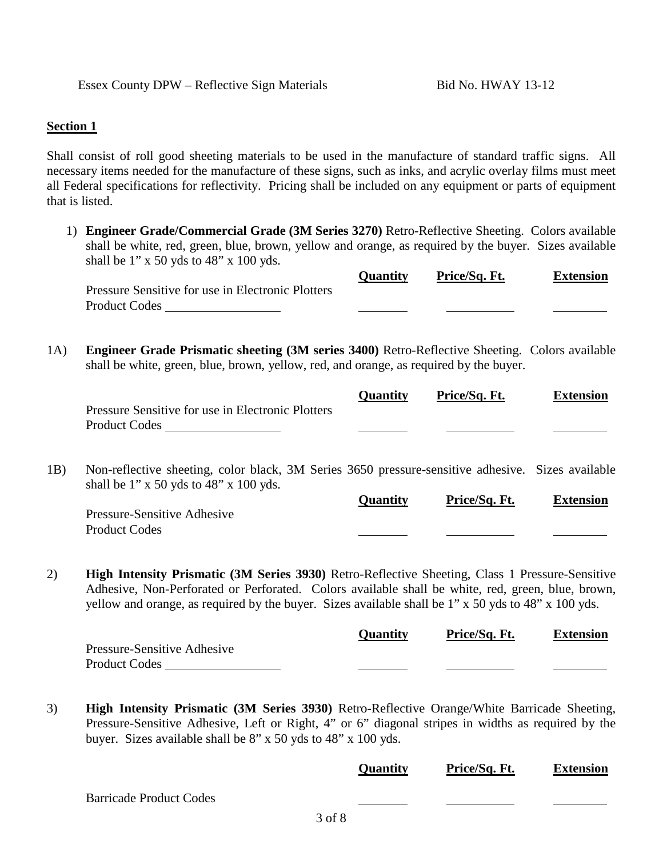### **Section 1**

Shall consist of roll good sheeting materials to be used in the manufacture of standard traffic signs. All necessary items needed for the manufacture of these signs, such as inks, and acrylic overlay films must meet all Federal specifications for reflectivity. Pricing shall be included on any equipment or parts of equipment that is listed.

1) **Engineer Grade/Commercial Grade (3M Series 3270)** Retro-Reflective Sheeting. Colors available shall be white, red, green, blue, brown, yellow and orange, as required by the buyer. Sizes available shall be  $1$ " x 50 yds to  $48$ " x 100 yds.

|                                                   | <b>Ouantity</b> | Price/Sq. Ft. | <b>Extension</b> |
|---------------------------------------------------|-----------------|---------------|------------------|
| Pressure Sensitive for use in Electronic Plotters |                 |               |                  |
| Product Codes                                     |                 |               |                  |

1A) **Engineer Grade Prismatic sheeting (3M series 3400)** Retro-Reflective Sheeting. Colors available shall be white, green, blue, brown, yellow, red, and orange, as required by the buyer.

|                                                   | <b>Ouantity</b> | Price/Sq. Ft. | <b>Extension</b> |
|---------------------------------------------------|-----------------|---------------|------------------|
| Pressure Sensitive for use in Electronic Plotters |                 |               |                  |
| <b>Product Codes</b>                              |                 |               |                  |

1B) Non-reflective sheeting, color black, 3M Series 3650 pressure-sensitive adhesive. Sizes available shall be  $1$ " x 50 yds to  $48$ " x 100 yds.

|                             | <b>Ouantity</b> | Price/Sq. Ft. | <b>Extension</b> |
|-----------------------------|-----------------|---------------|------------------|
| Pressure-Sensitive Adhesive |                 |               |                  |
| <b>Product Codes</b>        |                 |               |                  |

2) **High Intensity Prismatic (3M Series 3930)** Retro-Reflective Sheeting, Class 1 Pressure-Sensitive Adhesive, Non-Perforated or Perforated. Colors available shall be white, red, green, blue, brown, yellow and orange, as required by the buyer. Sizes available shall be 1" x 50 yds to 48" x 100 yds.

| <b>Quantity</b> | Price/Sq. Ft. | <b>Extension</b> |
|-----------------|---------------|------------------|
|                 |               |                  |
|                 |               |                  |
|                 |               |                  |

3) **High Intensity Prismatic (3M Series 3930)** Retro-Reflective Orange/White Barricade Sheeting, Pressure-Sensitive Adhesive, Left or Right, 4" or 6" diagonal stripes in widths as required by the buyer. Sizes available shall be 8" x 50 yds to 48" x 100 yds.

|                                | <b>Quantity</b> | Price/Sq. Ft. | <b>Extension</b> |
|--------------------------------|-----------------|---------------|------------------|
| <b>Barricade Product Codes</b> |                 |               |                  |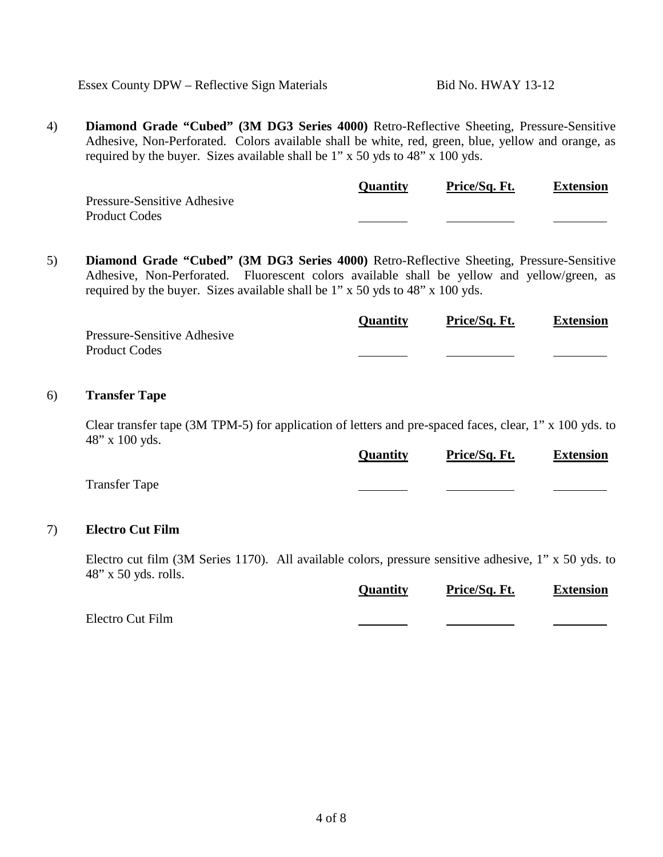Essex County DPW – Reflective Sign Materials Bid No. HWAY 13-12

4) **Diamond Grade "Cubed" (3M DG3 Series 4000)** Retro-Reflective Sheeting, Pressure-Sensitive Adhesive, Non-Perforated. Colors available shall be white, red, green, blue, yellow and orange, as required by the buyer. Sizes available shall be 1" x 50 yds to 48" x 100 yds.

|                             | <b>Quantity</b> | Price/Sq. Ft. | <b>Extension</b> |
|-----------------------------|-----------------|---------------|------------------|
| Pressure-Sensitive Adhesive |                 |               |                  |
| <b>Product Codes</b>        |                 |               |                  |

5) **Diamond Grade "Cubed" (3M DG3 Series 4000)** Retro-Reflective Sheeting, Pressure-Sensitive Adhesive, Non-Perforated. Fluorescent colors available shall be yellow and yellow/green, as required by the buyer. Sizes available shall be 1" x 50 yds to 48" x 100 yds.

|                             | <b>Quantity</b> | Price/Sq. Ft. | <b>Extension</b> |
|-----------------------------|-----------------|---------------|------------------|
| Pressure-Sensitive Adhesive |                 |               |                  |
| <b>Product Codes</b>        |                 |               |                  |
|                             |                 |               |                  |

#### 6) **Transfer Tape**

Clear transfer tape (3M TPM-5) for application of letters and pre-spaced faces, clear, 1" x 100 yds. to 48" x 100 yds.

|                      | <b>Quantity</b> | Price/Sq. Ft. | <b>Extension</b> |
|----------------------|-----------------|---------------|------------------|
| <b>Transfer Tape</b> |                 |               |                  |

#### 7) **Electro Cut Film**

Electro cut film (3M Series 1170). All available colors, pressure sensitive adhesive, 1" x 50 yds. to 48" x 50 yds. rolls.

|                  | <b>Quantity</b> | Price/Sq. Ft. | <b>Extension</b> |
|------------------|-----------------|---------------|------------------|
| Electro Cut Film |                 |               |                  |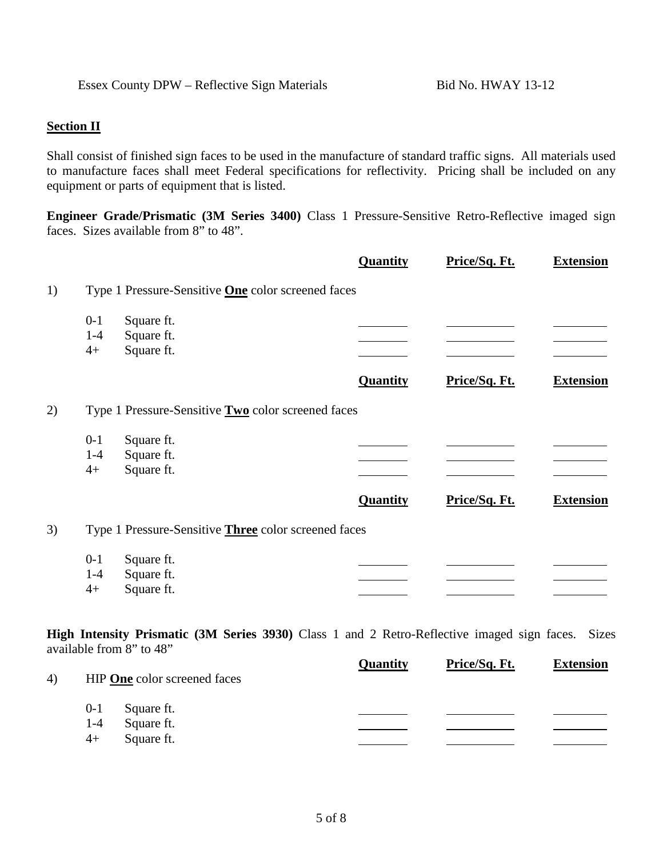## **Section II**

Shall consist of finished sign faces to be used in the manufacture of standard traffic signs. All materials used to manufacture faces shall meet Federal specifications for reflectivity. Pricing shall be included on any equipment or parts of equipment that is listed.

**Engineer Grade/Prismatic (3M Series 3400)** Class 1 Pressure-Sensitive Retro-Reflective imaged sign faces. Sizes available from 8" to 48".

|    |                  |                                                             | Quantity | Price/Sq. Ft. | <b>Extension</b> |
|----|------------------|-------------------------------------------------------------|----------|---------------|------------------|
| 1) |                  | Type 1 Pressure-Sensitive <b>One</b> color screened faces   |          |               |                  |
|    | $0-1$<br>$1 - 4$ | Square ft.<br>Square ft.                                    |          |               |                  |
|    | $4+$             | Square ft.                                                  |          |               |                  |
|    |                  |                                                             | Quantity | Price/Sq. Ft. | <b>Extension</b> |
| 2) |                  | Type 1 Pressure-Sensitive <b>Two</b> color screened faces   |          |               |                  |
|    | $0-1$            | Square ft.                                                  |          |               |                  |
|    | $1 - 4$<br>$4+$  | Square ft.<br>Square ft.                                    |          |               |                  |
|    |                  |                                                             | Quantity | Price/Sq. Ft. | <b>Extension</b> |
| 3) |                  | Type 1 Pressure-Sensitive <b>Three</b> color screened faces |          |               |                  |
|    | $0-1$            | Square ft.                                                  |          |               |                  |
|    | $1 - 4$<br>$4+$  | Square ft.<br>Square ft.                                    |          |               |                  |
|    |                  |                                                             |          |               |                  |

**High Intensity Prismatic (3M Series 3930)** Class 1 and 2 Retro-Reflective imaged sign faces. Sizes available from 8" to 48"

| 4) |         | HIP One color screened faces | <b>Quantity</b> | Price/Sq. Ft. | <b>Extension</b> |
|----|---------|------------------------------|-----------------|---------------|------------------|
|    | $0-1$   | Square ft.                   |                 |               |                  |
|    | $1 - 4$ | Square ft.                   |                 |               |                  |
|    | $4+$    | Square ft.                   |                 |               |                  |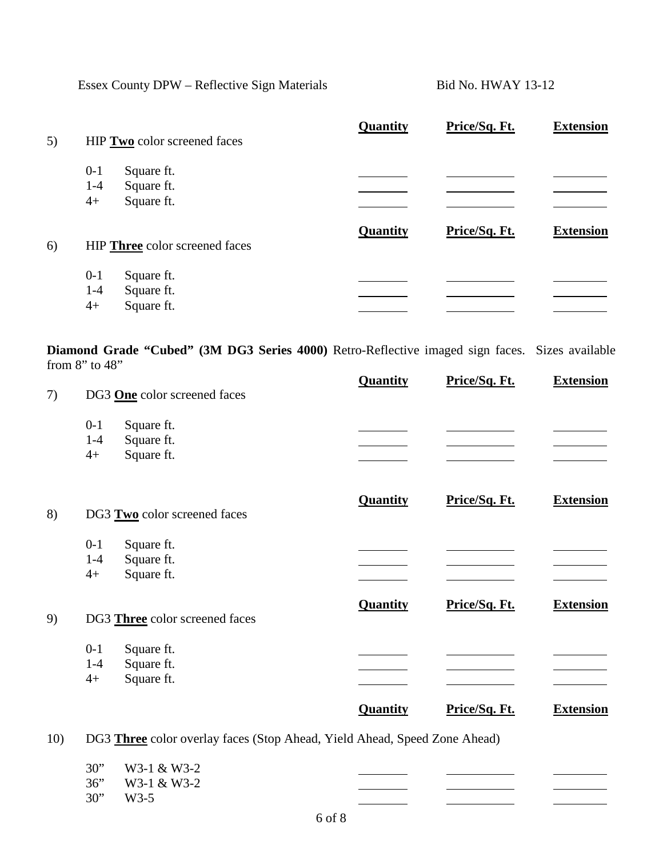Essex County DPW – Reflective Sign Materials Bid No. HWAY 13-12

| 5) | HIP Two color screened faces                                         | Quantity | Price/Sq. Ft. | <b>Extension</b> |
|----|----------------------------------------------------------------------|----------|---------------|------------------|
|    | $0 - 1$<br>Square ft.<br>$1 - 4$<br>Square ft.<br>Square ft.<br>$4+$ |          |               |                  |
| 6) | HIP Three color screened faces                                       | Quantity | Price/Sq. Ft. | <b>Extension</b> |
|    | $0 - 1$<br>Square ft.<br>$1-4$<br>Square ft.<br>Square ft.<br>$4+$   |          |               |                  |

**Diamond Grade "Cubed" (3M DG3 Series 4000)** Retro-Reflective imaged sign faces. Sizes available from 8" to 48"

| 7)  | DG3 One color screened faces                                       |                                                                           | Quantity | Price/Sq. Ft. | <b>Extension</b> |
|-----|--------------------------------------------------------------------|---------------------------------------------------------------------------|----------|---------------|------------------|
|     | $0 - 1$<br>Square ft.<br>Square ft.<br>$1-4$<br>Square ft.<br>$4+$ |                                                                           |          |               |                  |
| 8)  | DG3 Two color screened faces                                       |                                                                           | Quantity | Price/Sq. Ft. | <b>Extension</b> |
|     | Square ft.<br>$0 - 1$<br>Square ft.<br>$1-4$<br>Square ft.<br>$4+$ |                                                                           |          |               |                  |
| 9)  | DG3 Three color screened faces                                     |                                                                           | Quantity | Price/Sq. Ft. | <b>Extension</b> |
|     | Square ft.<br>$0 - 1$<br>Square ft.<br>$1-4$<br>Square ft.<br>$4+$ |                                                                           |          |               |                  |
|     |                                                                    |                                                                           | Quantity | Price/Sq. Ft. | <b>Extension</b> |
| 10) |                                                                    | DG3 Three color overlay faces (Stop Ahead, Yield Ahead, Speed Zone Ahead) |          |               |                  |

| 30" | W3-1 & W3-2 |
|-----|-------------|
| 36" | W3-1 & W3-2 |
| 30" | W3-5        |

 $\overline{\phantom{0}}$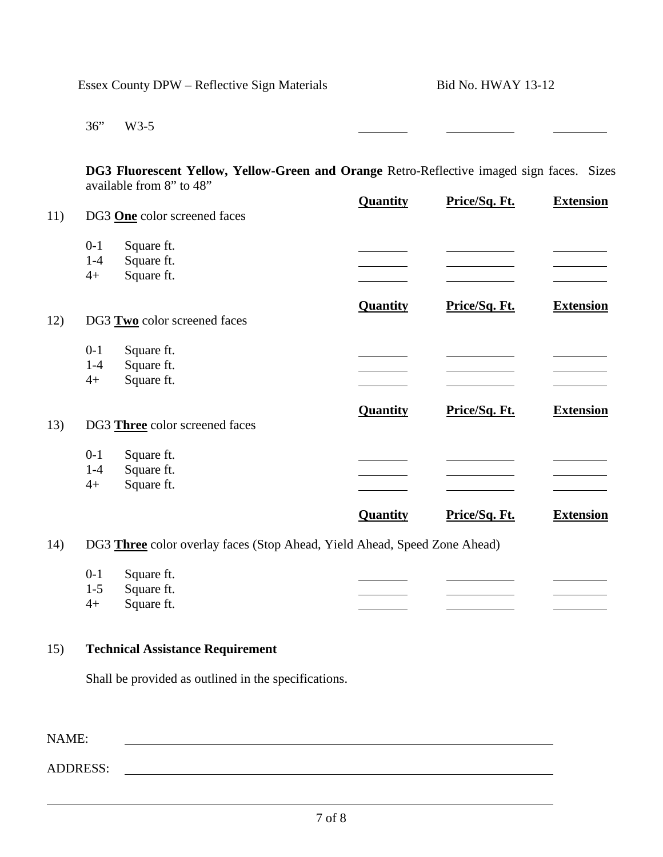|       | Essex County DPW - Reflective Sign Materials |                                                                                                                       | <b>Bid No. HWAY 13-12</b> |               |                  |
|-------|----------------------------------------------|-----------------------------------------------------------------------------------------------------------------------|---------------------------|---------------|------------------|
|       | 36"                                          | $W3-5$                                                                                                                |                           |               |                  |
|       |                                              | DG3 Fluorescent Yellow, Yellow-Green and Orange Retro-Reflective imaged sign faces. Sizes<br>available from 8" to 48" |                           |               |                  |
| 11)   |                                              | DG3 One color screened faces                                                                                          | <b>Quantity</b>           | Price/Sq. Ft. | <b>Extension</b> |
|       | $0-1$                                        | Square ft.                                                                                                            |                           |               |                  |
|       | $1 - 4$                                      | Square ft.                                                                                                            |                           |               |                  |
|       | $4+$                                         | Square ft.                                                                                                            |                           |               |                  |
| 12)   |                                              | DG3 Two color screened faces                                                                                          | <b>Quantity</b>           | Price/Sq. Ft. | <b>Extension</b> |
|       | $0-1$                                        | Square ft.                                                                                                            |                           |               |                  |
|       | $1-4$                                        | Square ft.                                                                                                            |                           |               |                  |
|       | $4+$                                         | Square ft.                                                                                                            |                           |               |                  |
| 13)   |                                              | DG3 Three color screened faces                                                                                        | Quantity                  | Price/Sq. Ft. | <b>Extension</b> |
|       | $0-1$                                        | Square ft.                                                                                                            |                           |               |                  |
|       | $1 - 4$                                      | Square ft.                                                                                                            |                           |               |                  |
|       | $4+$                                         | Square ft.                                                                                                            |                           |               |                  |
|       |                                              |                                                                                                                       | <b>Quantity</b>           | Price/Sq. Ft. | <b>Extension</b> |
| 14)   |                                              | DG3 Three color overlay faces (Stop Ahead, Yield Ahead, Speed Zone Ahead)                                             |                           |               |                  |
|       | $0-1$                                        | Square ft.                                                                                                            |                           |               |                  |
|       | $1 - 5$                                      | Square ft.                                                                                                            |                           |               |                  |
|       | $4+$                                         | Square ft.                                                                                                            |                           |               |                  |
| 15)   |                                              | <b>Technical Assistance Requirement</b>                                                                               |                           |               |                  |
|       |                                              | Shall be provided as outlined in the specifications.                                                                  |                           |               |                  |
|       |                                              |                                                                                                                       |                           |               |                  |
| NAME: |                                              |                                                                                                                       |                           |               |                  |
|       | <b>ADDRESS:</b>                              |                                                                                                                       |                           |               |                  |